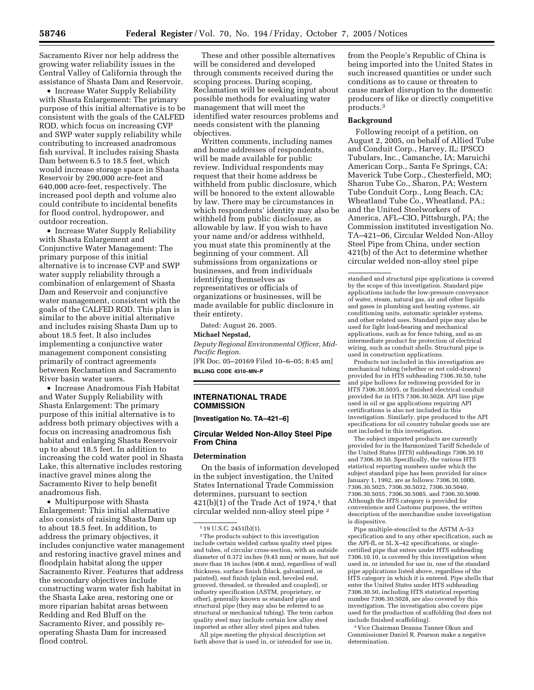Sacramento River nor help address the growing water reliability issues in the Central Valley of California through the assistance of Shasta Dam and Reservoir.

• Increase Water Supply Reliability with Shasta Enlargement: The primary purpose of this initial alternative is to be consistent with the goals of the CALFED ROD, which focus on increasing CVP and SWP water supply reliability while contributing to increased anadromous fish survival. It includes raising Shasta Dam between 6.5 to 18.5 feet, which would increase storage space in Shasta Reservoir by 290,000 acre-feet and 640,000 acre-feet, respectively. The increased pool depth and volume also could contribute to incidental benefits for flood control, hydropower, and outdoor recreation.

• Increase Water Supply Reliability with Shasta Enlargement and Conjunctive Water Management: The primary purpose of this initial alternative is to increase CVP and SWP water supply reliability through a combination of enlargement of Shasta Dam and Reservoir and conjunctive water management, consistent with the goals of the CALFED ROD. This plan is similar to the above initial alternative and includes raising Shasta Dam up to about 18.5 feet. It also includes implementing a conjunctive water management component consisting primarily of contract agreements between Reclamation and Sacramento River basin water users.

• Increase Anadromous Fish Habitat and Water Supply Reliability with Shasta Enlargement: The primary purpose of this initial alternative is to address both primary objectives with a focus on increasing anadromous fish habitat and enlarging Shasta Reservoir up to about 18.5 feet. In addition to increasing the cold water pool in Shasta Lake, this alternative includes restoring inactive gravel mines along the Sacramento River to help benefit anadromous fish.

• Multipurpose with Shasta Enlargement: This initial alternative also consists of raising Shasta Dam up to about 18.5 feet. In addition, to address the primary objectives, it includes conjunctive water management and restoring inactive gravel mines and floodplain habitat along the upper Sacramento River. Features that address the secondary objectives include constructing warm water fish habitat in the Shasta Lake area, restoring one or more riparian habitat areas between Redding and Red Bluff on the Sacramento River, and possibly reoperating Shasta Dam for increased flood control.

These and other possible alternatives will be considered and developed through comments received during the scoping process. During scoping, Reclamation will be seeking input about possible methods for evaluating water management that will meet the identified water resources problems and needs consistent with the planning objectives.

Written comments, including names and home addresses of respondents, will be made available for public review. Individual respondents may request that their home address be withheld from public disclosure, which will be honored to the extent allowable by law. There may be circumstances in which respondents' identity may also be withheld from public disclosure, as allowable by law. If you wish to have your name and/or address withheld, you must state this prominently at the beginning of your comment. All submissions from organizations or businesses, and from individuals identifying themselves as representatives or officials of organizations or businesses, will be made available for public disclosure in their entirety.

Dated: August 26, 2005.

## **Michael Nepstad,**

*Deputy Regional Environmental Officer, Mid-Pacific Region.* 

[FR Doc. 05–20169 Filed 10–6–05; 8:45 am] **BILLING CODE 4310–MN–P** 

# **INTERNATIONAL TRADE COMMISSION**

**[Investigation No. TA–421–6]** 

# **Circular Welded Non-Alloy Steel Pipe From China**

#### **Determination**

On the basis of information developed in the subject investigation, the United States International Trade Commission determines, pursuant to section  $421(b)(1)$  of the Trade Act of 1974,<sup>1</sup> that circular welded non-alloy steel pipe 2

2The products subject to this investigation include certain welded carbon quality steel pipes and tubes, of circular cross-section, with an outside diameter of 0.372 inches (9.45 mm) or more, but not more than 16 inches (406.4 mm), regardless of wall thickness, surface finish (black, galvanized, or painted), end finish (plain end, beveled end, grooved, threaded, or threaded and coupled), or industry specification (ASTM, proprietary, or other), generally known as standard pipe and structural pipe (they may also be referred to as structural or mechanical tubing). The term carbon quality steel may include certain low alloy steel imported as other alloy steel pipes and tubes.

All pipe meeting the physical description set forth above that is used in, or intended for use in,

from the People's Republic of China is being imported into the United States in such increased quantities or under such conditions as to cause or threaten to cause market disruption to the domestic producers of like or directly competitive products.3

### **Background**

Following receipt of a petition, on August 2, 2005, on behalf of Allied Tube and Conduit Corp., Harvey, IL; IPSCO Tubulars, Inc., Camanche, IA; Maruichi American Corp., Santa Fe Springs, CA; Maverick Tube Corp., Chesterfield, MO; Sharon Tube Co., Sharon, PA; Western Tube Conduit Corp., Long Beach, CA; Wheatland Tube Co., Wheatland, PA.; and the United Steelworkers of America, AFL–CIO, Pittsburgh, PA; the Commission instituted investigation No. TA–421–06, Circular Welded Non-Alloy Steel Pipe from China, under section 421(b) of the Act to determine whether circular welded non-alloy steel pipe

standard and structural pipe applications is covered by the scope of this investigation. Standard pipe applications include the low-pressure conveyance of water, steam, natural gas, air and other liquids and gases in plumbing and heating systems, air conditioning units, automatic sprinkler systems, and other related uses. Standard pipe may also be used for light load-bearing and mechanical applications, such as for fence tubing, and as an intermediate product for protection of electrical wiring, such as conduit shells. Structural pipe is used in construction applications.

Products not included in this investigation are mechanical tubing (whether or not cold-drawn) provided for in HTS subheading 7306.30.50, tube and pipe hollows for redrawing provided for in HTS 7306.30.5035, or finished electrical conduit provided for in HTS 7306.30.5028. API line pipe used in oil or gas applications requiring API certifications is also not included in this investigation. Similarly, pipe produced to the API specifications for oil country tubular goods use are not included in this investigation.

The subject imported products are currently provided for in the Harmonized Tariff Schedule of the United States (HTS) subheadings 7306.30.10 and 7306.30.50. Specifically, the various HTS statistical reporting numbers under which the subject standard pipe has been provided for since January 1, 1992, are as follows: 7306.30.1000, 7306.30.5025, 7306.30.5032, 7306.30.5040, 7306.30.5055, 7306.30.5085, and 7306.30.5090. Although the HTS category is provided for convenience and Customs purposes, the written description of the merchandise under investigation is dispositive.

Pipe multiple-stenciled to the ASTM A–53 specification and to any other specification, such as the API-fL or 5L X–42 specifications, or singlecertified pipe that enters under HTS subheading 7306.10.10, is covered by this investigation when used in, or intended for use in, one of the standard pipe applications listed above, regardless of the HTS category in which it is entered. Pipe shells that enter the United States under HTS subheading 7306.30.50, including HTS statistical reporting number 7306.30.5028, are also covered by this investigation. The investigation also covers pipe used for the production of scaffolding (but does not include finished scaffolding).

3 Vice Chairman Deanna Tanner Okun and Commissioner Daniel R. Pearson make a negative determination.

<sup>1</sup> 19 U.S.C. 2451(b)(1).